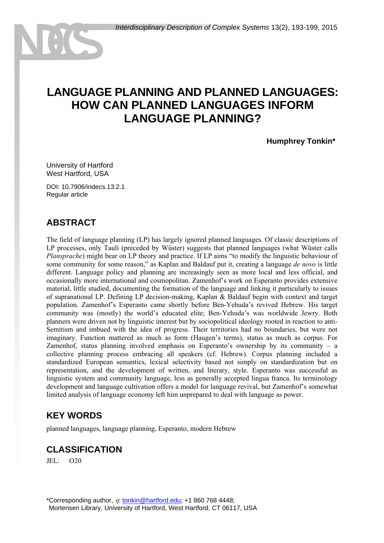# **LANGUAGE PLANNING AND PLANNED LANGUAGES: HOW CAN PLANNED LANGUAGES INFORM LANGUAGE PLANNING?**

**Humphrey Tonkin\***

University of Hartford West Hartford, USA

DOI: 10.7906/indecs.13.2.1 Regular article

### **ABSTRACT**

The field of language planning (LP) has largely ignored planned languages. Of classic descriptions of LP processes, only Tauli (preceded by Wüster) suggests that planned languages (what Wüster calls *Plansprache*) might bear on LP theory and practice. If LP aims "to modify the linguistic behaviour of some community for some reason," as Kaplan and Baldauf put it, creating a language *de novo* is little different. Language policy and planning are increasingly seen as more local and less official, and occasionally more international and cosmopolitan. Zamenhof's work on Esperanto provides extensive material, little studied, documenting the formation of the language and linking it particularly to issues of supranational LP. Defining LP decision-making, Kaplan & Baldauf begin with context and target population. Zamenhof's Esperanto came shortly before Ben-Yehuda's revived Hebrew. His target community was (mostly) the world's educated elite; Ben-Yehuda's was worldwide Jewry. Both planners were driven not by linguistic interest but by sociopolitical ideology rooted in reaction to anti-Semitism and imbued with the idea of progress. Their territories had no boundaries, but were not imaginary. Function mattered as much as form (Haugen's terms), status as much as corpus. For Zamenhof, status planning involved emphasis on Esperanto's ownership by its community – a collective planning process embracing all speakers (cf. Hebrew). Corpus planning included a standardized European semantics, lexical selectivity based not simply on standardization but on representation, and the development of written, and literary, style. Esperanto was successful as linguistic system and community language, less as generally accepted lingua franca. Its terminology development and language cultivation offers a model for language revival, but Zamenhof's somewhat limited analysis of language economy left him unprepared to deal with language as power.

### **KEY WORDS**

planned languages, language planning, Esperanto, modern Hebrew

### **CLASSIFICATION**

JEL: O20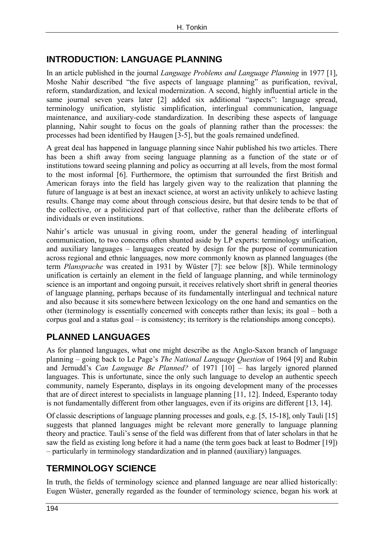#### **INTRODUCTION: LANGUAGE PLANNING**

In an article published in the journal *Language Problems and Language Planning* in 1977 [1], Moshe Nahir described "the five aspects of language planning" as purification, revival, reform, standardization, and lexical modernization. A second, highly influential article in the same journal seven years later [2] added six additional "aspects": language spread, terminology unification, stylistic simplification, interlingual communication, language maintenance, and auxiliary-code standardization. In describing these aspects of language planning, Nahir sought to focus on the goals of planning rather than the processes: the processes had been identified by Haugen [3-5], but the goals remained undefined.

A great deal has happened in language planning since Nahir published his two articles. There has been a shift away from seeing language planning as a function of the state or of institutions toward seeing planning and policy as occurring at all levels, from the most formal to the most informal [6]. Furthermore, the optimism that surrounded the first British and American forays into the field has largely given way to the realization that planning the future of language is at best an inexact science, at worst an activity unlikely to achieve lasting results. Change may come about through conscious desire, but that desire tends to be that of the collective, or a politicized part of that collective, rather than the deliberate efforts of individuals or even institutions.

Nahir's article was unusual in giving room, under the general heading of interlingual communication, to two concerns often shunted aside by LP experts: terminology unification, and auxiliary languages – languages created by design for the purpose of communication across regional and ethnic languages, now more commonly known as planned languages (the term *Plansprache* was created in 1931 by Wüster [7]: see below [8]). While terminology unification is certainly an element in the field of language planning, and while terminology science is an important and ongoing pursuit, it receives relatively short shrift in general theories of language planning, perhaps because of its fundamentally interlingual and technical nature and also because it sits somewhere between lexicology on the one hand and semantics on the other (terminology is essentially concerned with concepts rather than lexis; its goal – both a corpus goal and a status goal – is consistency; its territory is the relationships among concepts).

### **PLANNED LANGUAGES**

As for planned languages, what one might describe as the Anglo-Saxon branch of language planning – going back to Le Page's *The National Language Question* of 1964 [9] and Rubin and Jernudd's *Can Language Be Planned?* of 1971 [10] – has largely ignored planned languages. This is unfortunate, since the only such language to develop an authentic speech community, namely Esperanto, displays in its ongoing development many of the processes that are of direct interest to specialists in language planning [11, 12]. Indeed, Esperanto today is not fundamentally different from other languages, even if its origins are different [13, 14].

Of classic descriptions of language planning processes and goals, e.g. [5, 15-18], only Tauli [15] suggests that planned languages might be relevant more generally to language planning theory and practice. Tauli's sense of the field was different from that of later scholars in that he saw the field as existing long before it had a name (the term goes back at least to Bodmer [19]) – particularly in terminology standardization and in planned (auxiliary) languages.

### **TERMINOLOGY SCIENCE**

In truth, the fields of terminology science and planned language are near allied historically: Eugen Wüster, generally regarded as the founder of terminology science, began his work at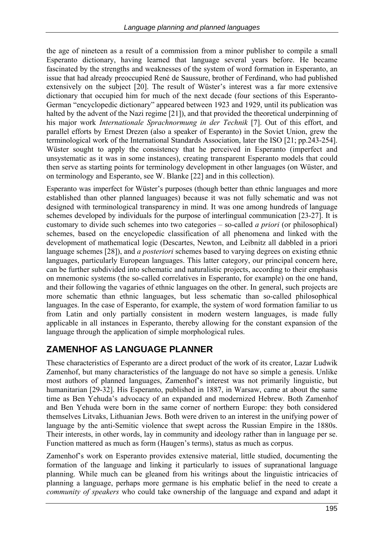the age of nineteen as a result of a commission from a minor publisher to compile a small Esperanto dictionary, having learned that language several years before. He became fascinated by the strengths and weaknesses of the system of word formation in Esperanto, an issue that had already preoccupied René de Saussure, brother of Ferdinand, who had published extensively on the subject [20]. The result of Wüster's interest was a far more extensive dictionary that occupied him for much of the next decade (four sections of this Esperanto-German "encyclopedic dictionary" appeared between 1923 and 1929, until its publication was halted by the advent of the Nazi regime [21]), and that provided the theoretical underpinning of his major work *Internationale Sprachnormung in der Technik* [7]. Out of this effort, and parallel efforts by Ernest Drezen (also a speaker of Esperanto) in the Soviet Union, grew the terminological work of the International Standards Association, later the ISO [21; pp.243-254]. Wüster sought to apply the consistency that he perceived in Esperanto (imperfect and unsystematic as it was in some instances), creating transparent Esperanto models that could then serve as starting points for terminology development in other languages (on Wüster, and on terminology and Esperanto, see W. Blanke [22] and in this collection).

Esperanto was imperfect for Wüster's purposes (though better than ethnic languages and more established than other planned languages) because it was not fully schematic and was not designed with terminological transparency in mind. It was one among hundreds of language schemes developed by individuals for the purpose of interlingual communication [23-27]. It is customary to divide such schemes into two categories – so-called *a priori* (or philosophical) schemes, based on the encyclopedic classification of all phenomena and linked with the development of mathematical logic (Descartes, Newton, and Leibnitz all dabbled in a priori language schemes [28]), and *a posteriori* schemes based to varying degrees on existing ethnic languages, particularly European languages. This latter category, our principal concern here, can be further subdivided into schematic and naturalistic projects, according to their emphasis on mnemonic systems (the so-called correlatives in Esperanto, for example) on the one hand, and their following the vagaries of ethnic languages on the other. In general, such projects are more schematic than ethnic languages, but less schematic than so-called philosophical languages. In the case of Esperanto, for example, the system of word formation familiar to us from Latin and only partially consistent in modern western languages, is made fully applicable in all instances in Esperanto, thereby allowing for the constant expansion of the language through the application of simple morphological rules.

## **ZAMENHOF AS LANGUAGE PLANNER**

These characteristics of Esperanto are a direct product of the work of its creator, Lazar Ludwik Zamenhof, but many characteristics of the language do not have so simple a genesis. Unlike most authors of planned languages, Zamenhof's interest was not primarily linguistic, but humanitarian [29-32]. His Esperanto, published in 1887, in Warsaw, came at about the same time as Ben Yehuda's advocacy of an expanded and modernized Hebrew. Both Zamenhof and Ben Yehuda were born in the same corner of northern Europe: they both considered themselves Litvaks, Lithuanian Jews. Both were driven to an interest in the unifying power of language by the anti-Semitic violence that swept across the Russian Empire in the 1880s. Their interests, in other words, lay in community and ideology rather than in language per se. Function mattered as much as form (Haugen's terms), status as much as corpus.

Zamenhof's work on Esperanto provides extensive material, little studied, documenting the formation of the language and linking it particularly to issues of supranational language planning. While much can be gleaned from his writings about the linguistic intricacies of planning a language, perhaps more germane is his emphatic belief in the need to create a *community of speakers* who could take ownership of the language and expand and adapt it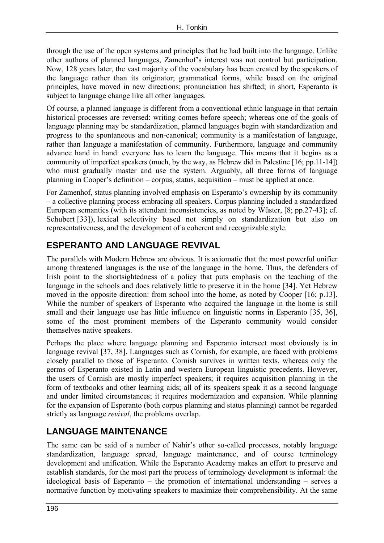through the use of the open systems and principles that he had built into the language. Unlike other authors of planned languages, Zamenhof's interest was not control but participation. Now, 128 years later, the vast majority of the vocabulary has been created by the speakers of the language rather than its originator; grammatical forms, while based on the original principles, have moved in new directions; pronunciation has shifted; in short, Esperanto is subject to language change like all other languages.

Of course, a planned language is different from a conventional ethnic language in that certain historical processes are reversed: writing comes before speech; whereas one of the goals of language planning may be standardization, planned languages begin with standardization and progress to the spontaneous and non-canonical; community is a manifestation of language, rather than language a manifestation of community. Furthermore, language and community advance hand in hand: everyone has to learn the language. This means that it begins as a community of imperfect speakers (much, by the way, as Hebrew did in Palestine [16; pp.11-14]) who must gradually master and use the system. Arguably, all three forms of language planning in Cooper's definition – corpus, status, acquisition – must be applied at once.

For Zamenhof, status planning involved emphasis on Esperanto's ownership by its community – a collective planning process embracing all speakers. Corpus planning included a standardized European semantics (with its attendant inconsistencies, as noted by Wüster, [8; pp.27-43]; cf. Schubert [33]), lexical selectivity based not simply on standardization but also on representativeness, and the development of a coherent and recognizable style.

### **ESPERANTO AND LANGUAGE REVIVAL**

The parallels with Modern Hebrew are obvious. It is axiomatic that the most powerful unifier among threatened languages is the use of the language in the home. Thus, the defenders of Irish point to the shortsightedness of a policy that puts emphasis on the teaching of the language in the schools and does relatively little to preserve it in the home [34]. Yet Hebrew moved in the opposite direction: from school into the home, as noted by Cooper [16; p.13]. While the number of speakers of Esperanto who acquired the language in the home is still small and their language use has little influence on linguistic norms in Esperanto [35, 36], some of the most prominent members of the Esperanto community would consider themselves native speakers.

Perhaps the place where language planning and Esperanto intersect most obviously is in language revival [37, 38]. Languages such as Cornish, for example, are faced with problems closely parallel to those of Esperanto. Cornish survives in written texts. whereas only the germs of Esperanto existed in Latin and western European linguistic precedents. However, the users of Cornish are mostly imperfect speakers; it requires acquisition planning in the form of textbooks and other learning aids; all of its speakers speak it as a second language and under limited circumstances; it requires modernization and expansion. While planning for the expansion of Esperanto (both corpus planning and status planning) cannot be regarded strictly as language *revival*, the problems overlap.

### **LANGUAGE MAINTENANCE**

The same can be said of a number of Nahir's other so-called processes, notably language standardization, language spread, language maintenance, and of course terminology development and unification. While the Esperanto Academy makes an effort to preserve and establish standards, for the most part the process of terminology development is informal: the ideological basis of Esperanto – the promotion of international understanding – serves a normative function by motivating speakers to maximize their comprehensibility. At the same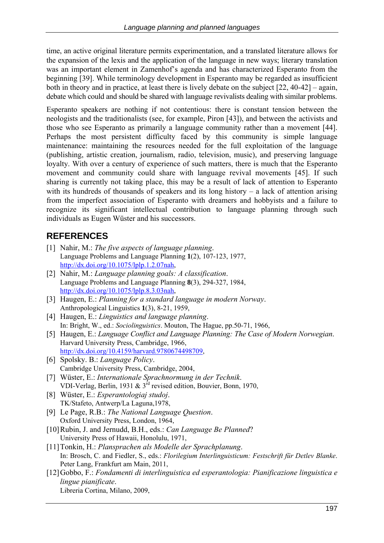time, an active original literature permits experimentation, and a translated literature allows for the expansion of the lexis and the application of the language in new ways; literary translation was an important element in Zamenhof's agenda and has characterized Esperanto from the beginning [39]. While terminology development in Esperanto may be regarded as insufficient both in theory and in practice, at least there is lively debate on the subject [22, 40-42] – again, debate which could and should be shared with language revivalists dealing with similar problems.

Esperanto speakers are nothing if not contentious: there is constant tension between the neologists and the traditionalists (see, for example, Piron [43]), and between the activists and those who see Esperanto as primarily a language community rather than a movement [44]. Perhaps the most persistent difficulty faced by this community is simple language maintenance: maintaining the resources needed for the full exploitation of the language (publishing, artistic creation, journalism, radio, television, music), and preserving language loyalty. With over a century of experience of such matters, there is much that the Esperanto movement and community could share with language revival movements [45]. If such sharing is currently not taking place, this may be a result of lack of attention to Esperanto with its hundreds of thousands of speakers and its long history – a lack of attention arising from the imperfect association of Esperanto with dreamers and hobbyists and a failure to recognize its significant intellectual contribution to language planning through such individuals as Eugen Wüster and his successors.

#### **REFERENCES**

- [1] Nahir, M.: *The five aspects of language planning*. Language Problems and Language Planning **1**(2), 107-123, 1977, http://dx.doi.org/10.1075/lplp.1.2.07nah,
- [2] Nahir, M.: *Language planning goals: A classification*. Language Problems and Language Planning **8**(3), 294-327, 1984, http://dx.doi.org/10.1075/lplp.8.3.03nah,
- [3] Haugen, E.: *Planning for a standard language in modern Norway*. Anthropological Linguistics **1**(3), 8-21, 1959,
- [4] Haugen, E.: *Linguistics and language planning*. In: Bright, W., ed.: *Sociolinguistics*. Mouton, The Hague, pp.50-71, 1966,
- [5] Haugen, E.: *Language Conflict and Language Planning: The Case of Modern Norwegian*. Harvard University Press, Cambridge, 1966, http://dx.doi.org/10.4159/harvard.9780674498709,
- [6] Spolsky. B.: *Language Policy*. Cambridge University Press, Cambridge, 2004,
- [7] Wüster, E.: *Internationale Sprachnormung in der Technik*. VDI-Verlag, Berlin, 1931  $\&$  3<sup>rd</sup> revised edition, Bouvier, Bonn, 1970,
- [8] Wüster, E.: *Esperantologiaj studoj*. TK/Stafeto, Antwerp/La Laguna,1978,
- [9] Le Page, R.B.: *The National Language Question*. Oxford University Press, London, 1964,
- [10]Rubin, J. and Jernudd, B.H., eds.: *Can Language Be Planned*? University Press of Hawaii, Honolulu, 1971,
- [11]Tonkin, H.: *Plansprachen als Modelle der Sprachplanung*. In: Brosch, C. and Fiedler, S., eds.: *Florilegium Interlinguisticum: Festschrift für Detlev Blanke*. Peter Lang, Frankfurt am Main, 2011,
- [12]Gobbo, F.: *Fondamenti di interlinguistica ed esperantologia: Pianificazione linguistica e lingue pianificate*. Libreria Cortina, Milano, 2009,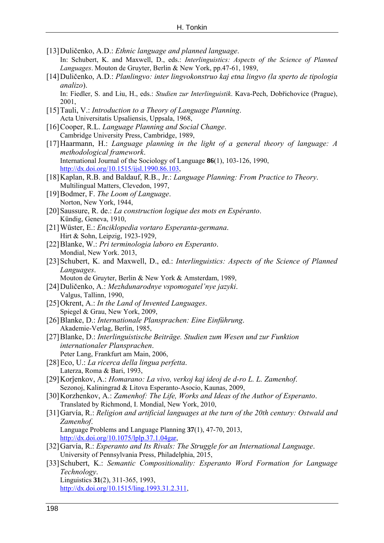- [13]Duličenko, A.D.: *Ethnic language and planned language*. In: Schubert, K. and Maxwell, D., eds.: *Interlinguistics: Aspects of the Science of Planned Languages*. Mouton de Gruyter, Berlin & New York, pp.47-61, 1989,
- [14]Duličenko, A.D.: *Planlingvo: inter lingvokonstruo kaj etna lingvo (la sperto de tipologia analizo*). In: Fiedler, S. and Liu, H., eds.: *Studien zur Interlinguistik*. Kava-Pech, Dobřichovice (Prague),
- 2001, [15]Tauli, V.: *Introduction to a Theory of Language Planning*. Acta Universitatis Upsaliensis, Uppsala, 1968,
- [16]Cooper, R.L. *Language Planning and Social Change*. Cambridge University Press, Cambridge, 1989,
- [17]Haarmann, H.: *Language planning in the light of a general theory of language: A methodological framework*. International Journal of the Sociology of Language **86**(1), 103-126, 1990, http://dx.doi.org/10.1515/ijsl.1990.86.103,
- [18]Kaplan, R.B. and Baldauf, R.B., Jr.: *Language Planning: From Practice to Theory*. Multilingual Matters, Clevedon, 1997,
- [19]Bodmer, F. *The Loom of Language*. Norton, New York, 1944,
- [20]Saussure, R. de.: *La construction logique des mots en Espéranto*. Kündig, Geneva, 1910,
- [21]Wüster, E.: *Enciklopedia vortaro Esperanta-germana*. Hirt & Sohn, Leipzig, 1923-1929,
- [22]Blanke, W.: *Pri terminologia laboro en Esperanto*. Mondial, New York. 2013,
- [23]Schubert, K. and Maxwell, D., ed.: *Interlinguistics: Aspects of the Science of Planned Languages*.

Mouton de Gruyter, Berlin & New York & Amsterdam, 1989,

- [24]Duličenko, A.: *Mezhdunarodnye vspomogatel'nye jazyki*. Valgus, Tallinn, 1990,
- [25]Okrent, A.: *In the Land of Invented Languages*. Spiegel & Grau, New York, 2009,
- [26]Blanke, D.: *Internationale Plansprachen: Eine Einführung*. Akademie-Verlag, Berlin, 1985,
- [27]Blanke, D.: *Interlinguistische Beiträge. Studien zum Wesen und zur Funktion internationaler Plansprachen*. Peter Lang, Frankfurt am Main, 2006,
- [28]Eco, U.: *La ricerca della lingua perfetta*. Laterza, Roma & Bari, 1993,
- [29]Korĵenkov, A.: *Homarano: La vivo, verkoj kaj ideoj de d-ro L. L. Zamenhof*. Sezonoj, Kaliningrad & Litova Esperanto-Asocio, Kaunas, 2009,
- [30]Korzhenkov, A.: *Zamenhof: The Life, Works and Ideas of the Author of Esperanto*. Translated by Richmond, I. Mondial, New York, 2010,
- [31]Garvía, R.: *Religion and artificial languages at the turn of the 20th century: Ostwald and Zamenhof*. Language Problems and Language Planning **37**(1), 47-70, 2013, http://dx.doi.org/10.1075/lplp.37.1.04gar,
- [32]Garvía, R.: *Esperanto and Its Rivals: The Struggle for an International Language*. University of Pennsylvania Press, Philadelphia, 2015,
- [33]Schubert, K.: *Semantic Compositionality: Esperanto Word Formation for Language Technology*. Linguistics **31**(2), 311-365, 1993, http://dx.doi.org/10.1515/ling.1993.31.2.311,